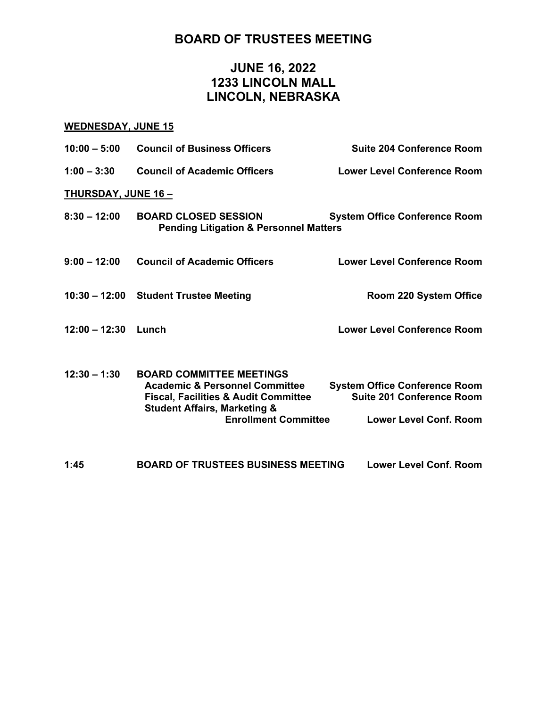# **BOARD OF TRUSTEES MEETING**

# **JUNE 16, 2022 1233 LINCOLN MALL LINCOLN, NEBRASKA**

## **WEDNESDAY, JUNE 15**

| $10:00 - 5:00$            | <b>Council of Business Officers</b>                                                                                                                                                                       | <b>Suite 204 Conference Room</b>                                                                          |
|---------------------------|-----------------------------------------------------------------------------------------------------------------------------------------------------------------------------------------------------------|-----------------------------------------------------------------------------------------------------------|
| $1:00 - 3:30$             | <b>Council of Academic Officers</b>                                                                                                                                                                       | <b>Lower Level Conference Room</b>                                                                        |
| <b>THURSDAY, JUNE 16-</b> |                                                                                                                                                                                                           |                                                                                                           |
| $8:30 - 12:00$            | <b>BOARD CLOSED SESSION</b><br><b>Pending Litigation &amp; Personnel Matters</b>                                                                                                                          | <b>System Office Conference Room</b>                                                                      |
| $9:00 - 12:00$            | <b>Council of Academic Officers</b>                                                                                                                                                                       | <b>Lower Level Conference Room</b>                                                                        |
|                           | 10:30 - 12:00 Student Trustee Meeting                                                                                                                                                                     | Room 220 System Office                                                                                    |
| $12:00 - 12:30$           | Lunch                                                                                                                                                                                                     | <b>Lower Level Conference Room</b>                                                                        |
| $12:30 - 1:30$            | <b>BOARD COMMITTEE MEETINGS</b><br><b>Academic &amp; Personnel Committee</b><br><b>Fiscal, Facilities &amp; Audit Committee</b><br><b>Student Affairs, Marketing &amp;</b><br><b>Enrollment Committee</b> | <b>System Office Conference Room</b><br><b>Suite 201 Conference Room</b><br><b>Lower Level Conf. Room</b> |
| 1:45                      | <b>BOARD OF TRUSTEES BUSINESS MEETING</b>                                                                                                                                                                 | Lower Level Conf. Room                                                                                    |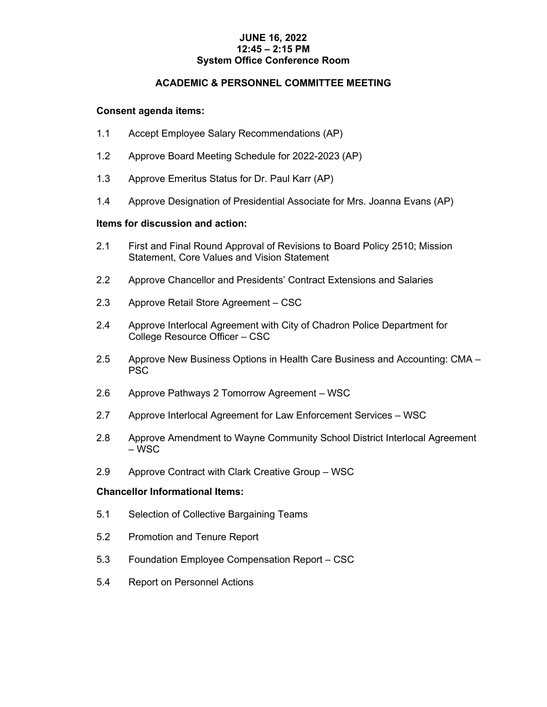#### **JUNE 16, 2022 12:45 – 2:15 PM System Office Conference Room**

## **ACADEMIC & PERSONNEL COMMITTEE MEETING**

#### **Consent agenda items:**

- 1.1 Accept Employee Salary Recommendations (AP)
- 1.2 Approve Board Meeting Schedule for 2022-2023 (AP)
- 1.3 Approve Emeritus Status for Dr. Paul Karr (AP)
- 1.4 Approve Designation of Presidential Associate for Mrs. Joanna Evans (AP)

#### **Items for discussion and action:**

- 2.1 First and Final Round Approval of Revisions to Board Policy 2510; Mission Statement, Core Values and Vision Statement
- 2.2 Approve Chancellor and Presidents' Contract Extensions and Salaries
- 2.3 Approve Retail Store Agreement CSC
- 2.4 Approve Interlocal Agreement with City of Chadron Police Department for College Resource Officer – CSC
- 2.5 Approve New Business Options in Health Care Business and Accounting: CMA PSC
- 2.6 Approve Pathways 2 Tomorrow Agreement WSC
- 2.7 Approve Interlocal Agreement for Law Enforcement Services WSC
- 2.8 Approve Amendment to Wayne Community School District Interlocal Agreement – WSC
- 2.9 Approve Contract with Clark Creative Group WSC

## **Chancellor Informational Items:**

- 5.1 Selection of Collective Bargaining Teams
- 5.2 Promotion and Tenure Report
- 5.3 Foundation Employee Compensation Report CSC
- 5.4 Report on Personnel Actions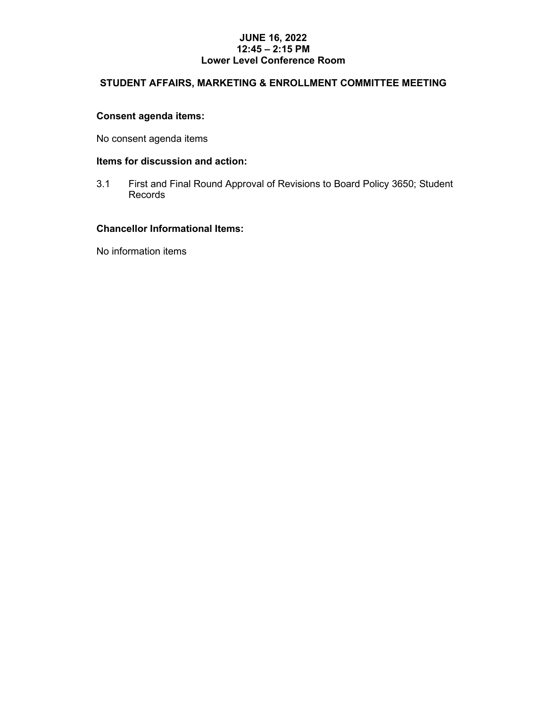#### **JUNE 16, 2022 12:45 – 2:15 PM Lower Level Conference Room**

# **STUDENT AFFAIRS, MARKETING & ENROLLMENT COMMITTEE MEETING**

## **Consent agenda items:**

No consent agenda items

#### **Items for discussion and action:**

3.1 First and Final Round Approval of Revisions to Board Policy 3650; Student Records

## **Chancellor Informational Items:**

No information items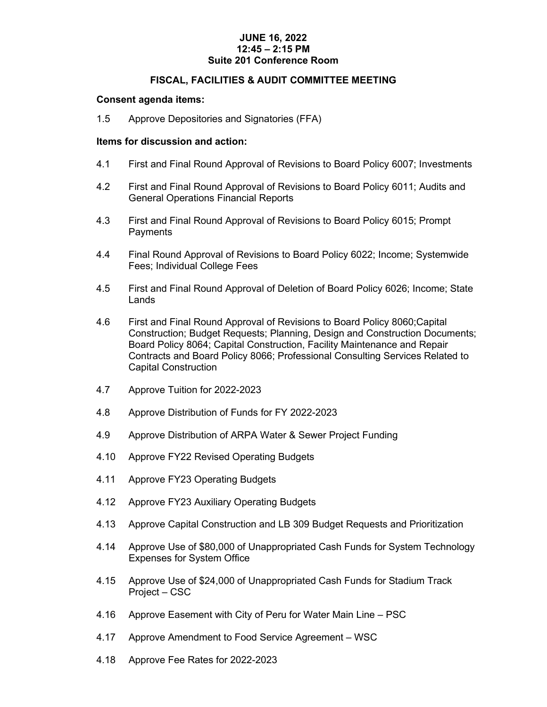## **JUNE 16, 2022 12:45 – 2:15 PM Suite 201 Conference Room**

#### **FISCAL, FACILITIES & AUDIT COMMITTEE MEETING**

#### **Consent agenda items:**

1.5 Approve Depositories and Signatories (FFA)

#### **Items for discussion and action:**

- 4.1 First and Final Round Approval of Revisions to Board Policy 6007; Investments
- 4.2 First and Final Round Approval of Revisions to Board Policy 6011; Audits and General Operations Financial Reports
- 4.3 First and Final Round Approval of Revisions to Board Policy 6015; Prompt **Payments**
- 4.4 Final Round Approval of Revisions to Board Policy 6022; Income; Systemwide Fees; Individual College Fees
- 4.5 First and Final Round Approval of Deletion of Board Policy 6026; Income; State Lands
- 4.6 First and Final Round Approval of Revisions to Board Policy 8060;Capital Construction; Budget Requests; Planning, Design and Construction Documents; Board Policy 8064; Capital Construction, Facility Maintenance and Repair Contracts and Board Policy 8066; Professional Consulting Services Related to Capital Construction
- 4.7 Approve Tuition for 2022-2023
- 4.8 Approve Distribution of Funds for FY 2022-2023
- 4.9 Approve Distribution of ARPA Water & Sewer Project Funding
- 4.10 Approve FY22 Revised Operating Budgets
- 4.11 Approve FY23 Operating Budgets
- 4.12 Approve FY23 Auxiliary Operating Budgets
- 4.13 Approve Capital Construction and LB 309 Budget Requests and Prioritization
- 4.14 Approve Use of \$80,000 of Unappropriated Cash Funds for System Technology Expenses for System Office
- 4.15 Approve Use of \$24,000 of Unappropriated Cash Funds for Stadium Track Project – CSC
- 4.16 Approve Easement with City of Peru for Water Main Line PSC
- 4.17 Approve Amendment to Food Service Agreement WSC
- 4.18 Approve Fee Rates for 2022-2023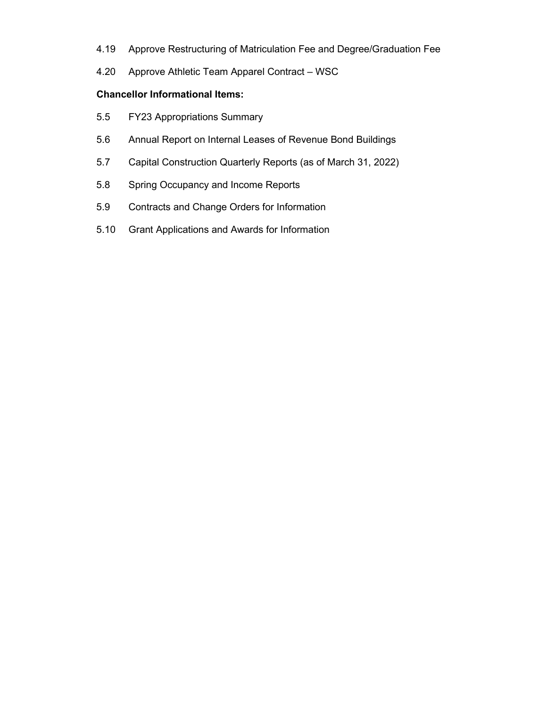- 4.19 Approve Restructuring of Matriculation Fee and Degree/Graduation Fee
- 4.20 Approve Athletic Team Apparel Contract WSC

## **Chancellor Informational Items:**

- 5.5 FY23 Appropriations Summary
- 5.6 Annual Report on Internal Leases of Revenue Bond Buildings
- 5.7 Capital Construction Quarterly Reports (as of March 31, 2022)
- 5.8 Spring Occupancy and Income Reports
- 5.9 Contracts and Change Orders for Information
- 5.10 Grant Applications and Awards for Information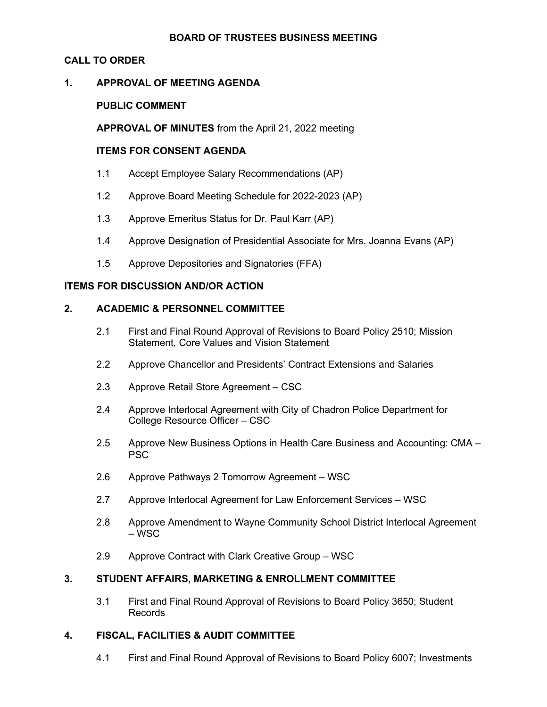#### **BOARD OF TRUSTEES BUSINESS MEETING**

## **CALL TO ORDER**

## **1. APPROVAL OF MEETING AGENDA**

## **PUBLIC COMMENT**

**APPROVAL OF MINUTES** from the April 21, 2022 meeting

#### **ITEMS FOR CONSENT AGENDA**

- 1.1 Accept Employee Salary Recommendations (AP)
- 1.2 Approve Board Meeting Schedule for 2022-2023 (AP)
- 1.3 Approve Emeritus Status for Dr. Paul Karr (AP)
- 1.4 Approve Designation of Presidential Associate for Mrs. Joanna Evans (AP)
- 1.5 Approve Depositories and Signatories (FFA)

## **ITEMS FOR DISCUSSION AND/OR ACTION**

## **2. ACADEMIC & PERSONNEL COMMITTEE**

- 2.1 First and Final Round Approval of Revisions to Board Policy 2510; Mission Statement, Core Values and Vision Statement
- 2.2 Approve Chancellor and Presidents' Contract Extensions and Salaries
- 2.3 Approve Retail Store Agreement CSC
- 2.4 Approve Interlocal Agreement with City of Chadron Police Department for College Resource Officer – CSC
- 2.5 Approve New Business Options in Health Care Business and Accounting: CMA PSC
- 2.6 Approve Pathways 2 Tomorrow Agreement WSC
- 2.7 Approve Interlocal Agreement for Law Enforcement Services WSC
- 2.8 Approve Amendment to Wayne Community School District Interlocal Agreement – WSC
- 2.9 Approve Contract with Clark Creative Group WSC

## **3. STUDENT AFFAIRS, MARKETING & ENROLLMENT COMMITTEE**

3.1 First and Final Round Approval of Revisions to Board Policy 3650; Student Records

## **4. FISCAL, FACILITIES & AUDIT COMMITTEE**

4.1 First and Final Round Approval of Revisions to Board Policy 6007; Investments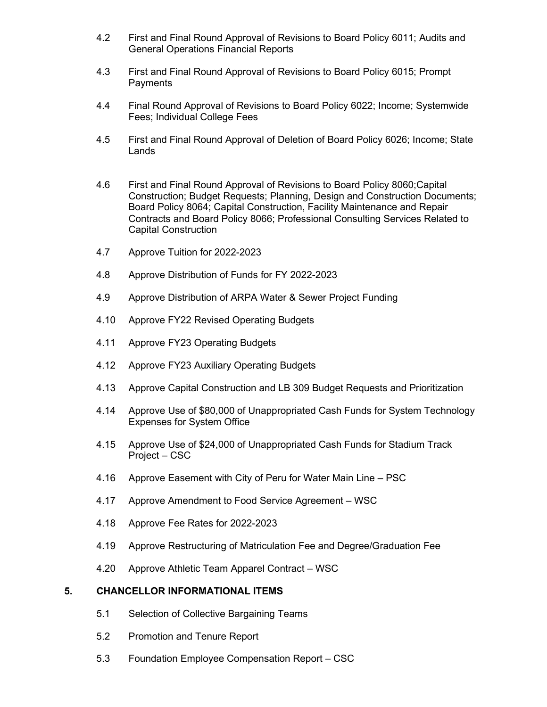- 4.2 First and Final Round Approval of Revisions to Board Policy 6011; Audits and General Operations Financial Reports
- 4.3 First and Final Round Approval of Revisions to Board Policy 6015; Prompt **Payments**
- 4.4 Final Round Approval of Revisions to Board Policy 6022; Income; Systemwide Fees; Individual College Fees
- 4.5 First and Final Round Approval of Deletion of Board Policy 6026; Income; State Lands
- 4.6 First and Final Round Approval of Revisions to Board Policy 8060;Capital Construction; Budget Requests; Planning, Design and Construction Documents; Board Policy 8064; Capital Construction, Facility Maintenance and Repair Contracts and Board Policy 8066; Professional Consulting Services Related to Capital Construction
- 4.7 Approve Tuition for 2022-2023
- 4.8 Approve Distribution of Funds for FY 2022-2023
- 4.9 Approve Distribution of ARPA Water & Sewer Project Funding
- 4.10 Approve FY22 Revised Operating Budgets
- 4.11 Approve FY23 Operating Budgets
- 4.12 Approve FY23 Auxiliary Operating Budgets
- 4.13 Approve Capital Construction and LB 309 Budget Requests and Prioritization
- 4.14 Approve Use of \$80,000 of Unappropriated Cash Funds for System Technology Expenses for System Office
- 4.15 Approve Use of \$24,000 of Unappropriated Cash Funds for Stadium Track Project – CSC
- 4.16 Approve Easement with City of Peru for Water Main Line PSC
- 4.17 Approve Amendment to Food Service Agreement WSC
- 4.18 Approve Fee Rates for 2022-2023
- 4.19 Approve Restructuring of Matriculation Fee and Degree/Graduation Fee
- 4.20 Approve Athletic Team Apparel Contract WSC

#### **5. CHANCELLOR INFORMATIONAL ITEMS**

- 5.1 Selection of Collective Bargaining Teams
- 5.2 Promotion and Tenure Report
- 5.3 Foundation Employee Compensation Report CSC